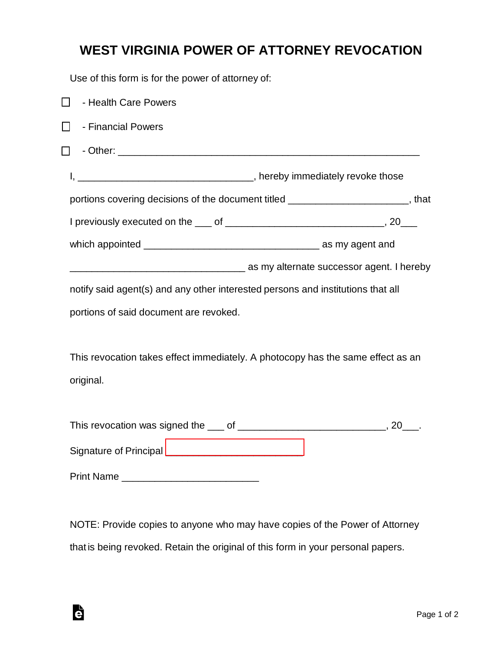## **WEST VIRGINIA POWER OF ATTORNEY REVOCATION**

Use of this form is for the power of attorney of:

| - Health Care Powers<br>$\Box$                                                  |                                                                                    |
|---------------------------------------------------------------------------------|------------------------------------------------------------------------------------|
| - Financial Powers<br>l I                                                       |                                                                                    |
|                                                                                 |                                                                                    |
|                                                                                 |                                                                                    |
|                                                                                 | portions covering decisions of the document titled _________________________, that |
|                                                                                 |                                                                                    |
|                                                                                 |                                                                                    |
|                                                                                 | as my alternate successor agent. I hereby and the mate successor agent. I hereby   |
| notify said agent(s) and any other interested persons and institutions that all |                                                                                    |
| portions of said document are revoked.                                          |                                                                                    |
|                                                                                 |                                                                                    |
| This revocation takes effect immediately. A photocopy has the same effect as an |                                                                                    |
| original.                                                                       |                                                                                    |
|                                                                                 |                                                                                    |
|                                                                                 |                                                                                    |
| Signature of Principal _______________________________                          |                                                                                    |
|                                                                                 |                                                                                    |
|                                                                                 |                                                                                    |

NOTE: Provide copies to anyone who may have copies of the Power of Attorney that is being revoked. Retain the original of this form in your personal papers.

è